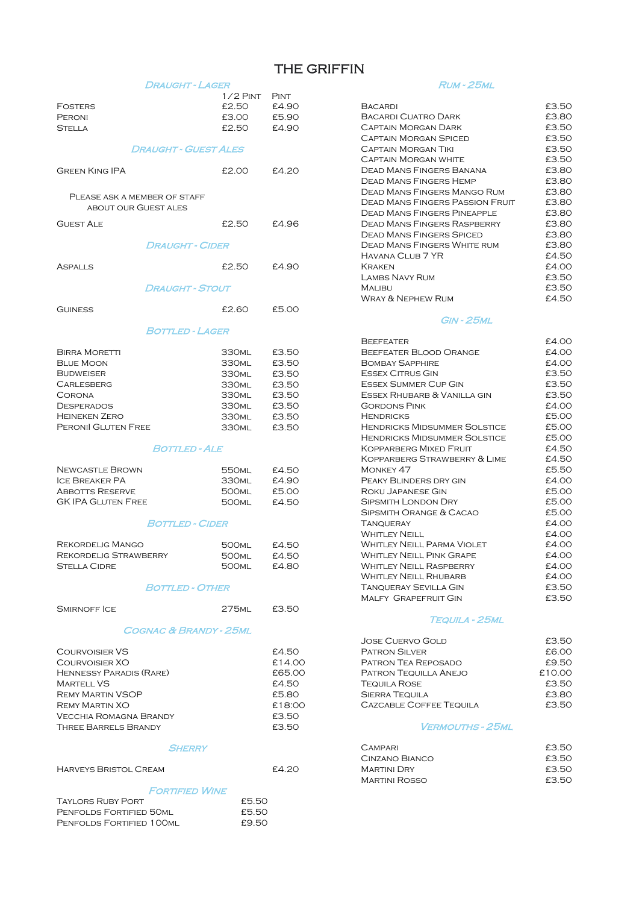# THE GRIFFIN

| DRAUGHT - LAGER                          |                                        |                | <b>RUM - 25ML</b>                                                 |                |
|------------------------------------------|----------------------------------------|----------------|-------------------------------------------------------------------|----------------|
|                                          | $1/2$ PINT                             | <b>PINT</b>    |                                                                   |                |
| <b>FOSTERS</b>                           | £2.50                                  | £4.90          | <b>BACARDI</b>                                                    | £3.50          |
| PERONI                                   | £3.00                                  | £5.90          | <b>BACARDI CUATRO DARK</b>                                        | £3.80          |
| <b>STELLA</b>                            | £2.50                                  | £4.90          | <b>CAPTAIN MORGAN DARK</b>                                        | £3.5C          |
|                                          |                                        |                | <b>CAPTAIN MORGAN SPICED</b>                                      | £3.50          |
| <b>DRAUGHT - GUEST ALES</b>              |                                        |                | <b>CAPTAIN MORGAN TIKI</b>                                        | £3.5C          |
|                                          |                                        |                | <b>CAPTAIN MORGAN WHITE</b>                                       | £3.5C          |
| <b>GREEN KING IPA</b>                    | £2.00                                  | £4.20          | <b>DEAD MANS FINGERS BANANA</b><br><b>DEAD MANS FINGERS HEMP</b>  | £3.80<br>£3.8C |
|                                          |                                        |                | <b>DEAD MANS FINGERS MANGO RUM</b>                                | £3.80          |
| PLEASE ASK A MEMBER OF STAFF             |                                        |                | <b>DEAD MANS FINGERS PASSION FRUIT</b>                            | £3.80          |
| <b>ABOUT OUR GUEST ALES</b>              |                                        |                | <b>DEAD MANS FINGERS PINEAPPLE</b>                                | £3.80          |
| <b>GUEST ALE</b>                         | £2.50                                  | £4.96          | <b>DEAD MANS FINGERS RASPBERRY</b>                                | £3.8C          |
|                                          |                                        |                | <b>DEAD MANS FINGERS SPICED</b>                                   | £3.80          |
| <b>DRAUGHT - CIDER</b>                   |                                        |                | <b>DEAD MANS FINGERS WHITE RUM</b>                                | £3.8C          |
|                                          |                                        |                | HAVANA CLUB 7 YR                                                  | £4.50          |
| <b>ASPALLS</b>                           | £2.50                                  | £4.90          | <b>KRAKEN</b>                                                     | £4.00          |
|                                          |                                        |                | <b>LAMBS NAVY RUM</b>                                             | £3.50          |
| <b>DRAUGHT - STOUT</b>                   |                                        |                | <b>MALIBU</b>                                                     | £3.50          |
|                                          |                                        |                | <b>WRAY &amp; NEPHEW RUM</b>                                      | £4.50          |
| <b>GUINESS</b>                           | £2.60                                  | £5.00          |                                                                   |                |
|                                          |                                        |                | GIN - 25ML                                                        |                |
| <b>BOTTLED - LAGER</b>                   |                                        |                |                                                                   |                |
|                                          |                                        |                | <b>BEEFEATER</b>                                                  | £4.00          |
| <b>BIRRA MORETTI</b><br><b>BLUE MOON</b> | 330 <sub>ML</sub><br>330ML             | £3.50          | <b>BEEFEATER BLOOD ORANGE</b>                                     | £4.00<br>£4.00 |
| <b>BUDWEISER</b>                         |                                        | £3.50          | <b>BOMBAY SAPPHIRE</b><br><b>ESSEX CITRUS GIN</b>                 | £3.50          |
| <b>CARLESBERG</b>                        | 330 <sub>ML</sub><br>330 <sub>ML</sub> | £3.50<br>£3.50 | <b>ESSEX SUMMER CUP GIN</b>                                       | £3.5C          |
| <b>CORONA</b>                            | 330 <sub>ML</sub>                      | £3.50          | ESSEX RHUBARB & VANILLA GIN                                       | £3.50          |
| <b>DESPERADOS</b>                        | 330 <sub>ML</sub>                      | £3.50          | <b>GORDONS PINK</b>                                               | £4.00          |
| <b>HEINEKEN ZERO</b>                     | 330ML                                  | £3.50          | <b>HENDRICKS</b>                                                  | £5.00          |
| PERONII GLUTEN FREE                      | 330 <sub>ML</sub>                      | £3.50          | <b>HENDRICKS MIDSUMMER SOLSTICE</b>                               | £5.00          |
|                                          |                                        |                | <b>HENDRICKS MIDSUMMER SOLSTICE</b>                               | £5.00          |
| <i>BOTTLED - ALE</i>                     |                                        |                | <b>KOPPARBERG MIXED FRUIT</b>                                     | £4.50          |
|                                          |                                        |                | KOPPARBERG STRAWBERRY & LIME                                      | £4.5C          |
| <b>NEWCASTLE BROWN</b>                   | 550 <sub>ML</sub>                      | £4.50          | MONKEY 47                                                         | £5.50          |
| <b>ICE BREAKER PA</b>                    | 330 <sub>ML</sub>                      | £4.90          | PEAKY BLINDERS DRY GIN                                            | £4.00          |
| <b>ABBOTTS RESERVE</b>                   | 500 <sub>ML</sub>                      | £5.00          | <b>ROKU JAPANESE GIN</b>                                          | £5.00          |
| <b>GK IPA GLUTEN FREE</b>                | 500 <sub>ML</sub>                      | £4.50          | <b>SIPSMITH LONDON DRY</b>                                        | £5.00          |
|                                          |                                        |                | SIPSMITH ORANGE & CACAO                                           | £5.00          |
| <b>BOTTLED - CIDER</b>                   |                                        |                | <b>TANQUERAY</b>                                                  | £4.00          |
|                                          |                                        |                | <b>WHITLEY NEILL</b>                                              | £4.00          |
| <b>REKORDELIG MANGO</b>                  | 500ml                                  | £4.50          | <b>WHITLEY NEILL PARMA VIOLET</b>                                 | £4.00          |
| <b>REKORDELIG STRAWBERRY</b>             | 500ml                                  | £4.50          | <b>WHITLEY NEILL PINK GRAPE</b><br><b>WHITLEY NEILL RASPBERRY</b> | £4.00<br>£4.00 |
| <b>STELLA CIDRE</b>                      | <b>500ML</b>                           | £4.80          | <b>WHITLEY NEILL RHUBARB</b>                                      | £4.00          |
| <b>BOTTLED - OTHER</b>                   |                                        |                | <b>TANQUERAY SEVILLA GIN</b>                                      | £3.5C          |
|                                          |                                        |                | <b>MALFY GRAPEFRUIT GIN</b>                                       | £3.5C          |
| <b>SMIRNOFF ICE</b>                      | 275 <sub>ML</sub>                      | £3.50          |                                                                   |                |
|                                          |                                        |                | TEQUILA ~ 25ML                                                    |                |
| <b>COGNAC &amp; BRANDY - 25ML</b>        |                                        |                |                                                                   |                |
|                                          |                                        |                | <b>JOSE CUERVO GOLD</b>                                           | £3.5C          |
| <b>COURVOISIER VS</b>                    |                                        | £4.50          | <b>PATRON SILVER</b>                                              | £6.00          |
| COURVOISIER XO                           |                                        | £14.00         | PATRON TEA REPOSADO                                               | £9.50          |
| <b>HENNESSY PARADIS (RARE)</b>           |                                        | £65.00         | PATRON TEQUILLA ANEJO                                             | £10.00         |
| <b>MARTELL VS</b>                        |                                        | £4.50          | <b>TEQUILA ROSE</b>                                               | £3.5C          |
| <b>REMY MARTIN VSOP</b>                  |                                        | £5.80          | <b>SIERRA TEQUILA</b>                                             | £3.80          |
| <b>REMY MARTIN XO</b>                    |                                        | £18:00         | CAZCABLE COFFEE TEQUILA                                           | £3.50          |
| <b>VECCHIA ROMAGNA BRANDY</b>            |                                        | £3.50          |                                                                   |                |
| <b>THREE BARRELS BRANDY</b>              |                                        | £3.50          | <i>VERMOUTHS - 25ML</i>                                           |                |
| <i>SHERRY</i>                            |                                        |                | <b>CAMPARI</b>                                                    | £3.5C          |
|                                          |                                        |                | CINZANO BIANCO                                                    | £3.5C          |
| <b>HARVEYS BRISTOL CREAM</b>             |                                        | £4.20          | <b>MARTINI DRY</b>                                                | £3.5C          |
|                                          |                                        |                | <b>MARTINI ROSSO</b>                                              | £3.5C          |
| <i><b>FORTIFIED WINE</b></i>             |                                        |                |                                                                   |                |
| <b>TAYLORS RUBY PORT</b>                 | £5.50                                  |                |                                                                   |                |
| PENFOLDS FORTIFIED 50ML                  | £5.50                                  |                |                                                                   |                |
| PENFOLDS FORTIFIED 100ML                 | £9.50                                  |                |                                                                   |                |
|                                          |                                        |                |                                                                   |                |

| BACARDI                         | £3.50 |
|---------------------------------|-------|
| BACARDI CUATRO DARK             | £3.80 |
| CAPTAIN MORGAN DARK             | £3.50 |
| CAPTAIN MORGAN SPICED           | £3.50 |
| <b>CAPTAIN MORGAN TIKI</b>      | £3.50 |
| CAPTAIN MORGAN WHITE            | £3.50 |
| DEAD MANS FINGERS BANANA        | £3.80 |
| DEAD MANS FINGERS HEMP          | £3.80 |
| DEAD MANS FINGERS MANGO RUM     | £3.80 |
| DEAD MANS FINGERS PASSION FRUIT | £3.80 |
| DEAD MANS FINGERS PINFAPPLE     | £3.80 |
| DEAD MANS FINGERS RASPBERRY     | £3.80 |
| <b>DEAD MANS FINGERS SPICED</b> | £3.80 |
| Dead Mans Fingers White rum     | £3.80 |
| Havana Ci ub 7 YR               | £4.50 |
| <b>KRAKEN</b>                   | £4.00 |
| LAMBS NAVY RUM                  | £3.50 |
| Mal ibu                         | £3.50 |
| Wray & Nephew Rum               | £4.50 |
|                                 |       |

### Gin - 25ml

| <b>BEEFEATER</b>                    | £4.00 |
|-------------------------------------|-------|
| BEEFEATER BLOOD ORANGE              | £4.00 |
| <b>BOMBAY SAPPHIRE</b>              | £4.00 |
| <b>ESSEX CITRUS GIN</b>             | £3.50 |
| <b>ESSEX SUMMER CUP GIN</b>         | £3.50 |
| ESSEX RHUBARB & VANILLA GIN         | £3.50 |
| <b>GORDONS PINK</b>                 | £4.00 |
| <b>HENDRICKS</b>                    | £5.00 |
| <b>HENDRICKS MIDSUMMER SOLSTICE</b> | £5.00 |
| <b>HENDRICKS MIDSUMMER SOLSTICE</b> | £5.00 |
| <b>KOPPARBERG MIXED FRUIT</b>       | £4.50 |
| KOPPARBERG STRAWBERRY & LIME        | £4.50 |
| MONKEY 47                           | £5.50 |
| PEAKY BLINDERS DRY GIN              | £4.00 |
| ROKU JAPANESE GIN                   | £5.00 |
| <b>SIPSMITH LONDON DRY</b>          | £5.00 |
| SIPSMITH ORANGE & CACAO             | £5.00 |
| <b>TANQUERAY</b>                    | £4.00 |
| <b>WHITLEY NEILL</b>                | £4.00 |
| <b>WHITLEY NEILL PARMA VIOLET</b>   | £4.00 |
| <b>WHITLEY NEILL PINK GRAPE</b>     | £4.00 |
| <b>WHITLEY NEILL RASPBERRY</b>      | £4.00 |
| <b>WHITLEY NEILL RHUBARB</b>        | £4.00 |
| <b>TANQUERAY SEVILLA GIN</b>        | £3.50 |
| <b>MALFY GRAPEFRUIT GIN</b>         | £3.50 |

## Tequila - 25ml

| <b>JOSE CUERVO GOLD</b>        | £3.50  |
|--------------------------------|--------|
| <b>PATRON SILVER</b>           | £6.00  |
| PATRON TEA REPOSADO            | £9.50  |
| PATRON TEQUILLA ANEJO          | £10.00 |
| <b>TEQUILA ROSE</b>            | £3.50  |
| <b>SIERRA TEQUILA</b>          | £3.80  |
| <b>CAZCABLE COFFEE TEQUILA</b> | £3.50  |
|                                |        |

#### Vermouths - 25ml

| CAMPARI              | £3.50 |
|----------------------|-------|
| CINZANO BIANCO       | £3.50 |
| <b>MARTINI DRY</b>   | £3.50 |
| <b>MARTINI ROSSO</b> | £3.50 |